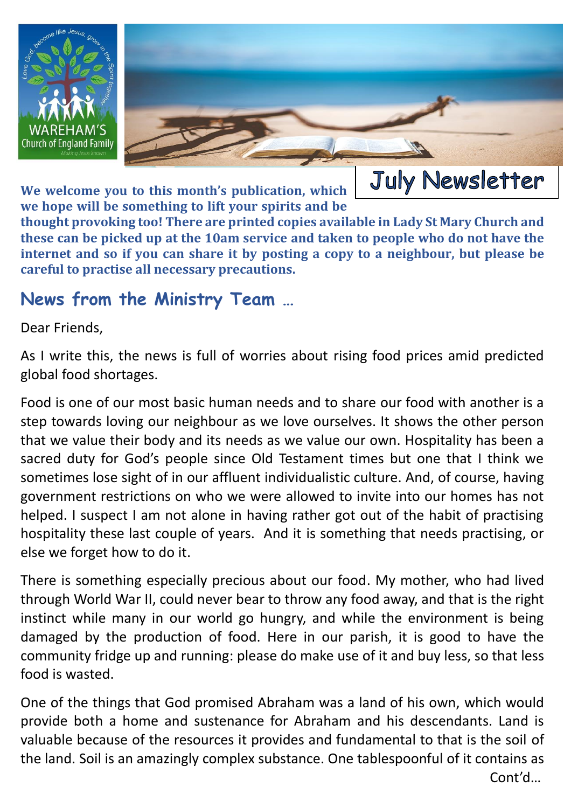

**We welcome you to this month's publication, which we hope will be something to lift your spirits and be** 

**thought provoking too! There are printed copies available in Lady St Mary Church and these can be picked up at the 10am service and taken to people who do not have the internet and so if you can share it by posting a copy to a neighbour, but please be careful to practise all necessary precautions.** 

July Newsletter

## **News from the Ministry Team …**

Dear Friends,

As I write this, the news is full of worries about rising food prices amid predicted global food shortages.

Food is one of our most basic human needs and to share our food with another is a step towards loving our neighbour as we love ourselves. It shows the other person that we value their body and its needs as we value our own. Hospitality has been a sacred duty for God's people since Old Testament times but one that I think we sometimes lose sight of in our affluent individualistic culture. And, of course, having government restrictions on who we were allowed to invite into our homes has not helped. I suspect I am not alone in having rather got out of the habit of practising hospitality these last couple of years. And it is something that needs practising, or else we forget how to do it.

There is something especially precious about our food. My mother, who had lived through World War II, could never bear to throw any food away, and that is the right instinct while many in our world go hungry, and while the environment is being damaged by the production of food. Here in our parish, it is good to have the community fridge up and running: please do make use of it and buy less, so that less food is wasted.

One of the things that God promised Abraham was a land of his own, which would provide both a home and sustenance for Abraham and his descendants. Land is valuable because of the resources it provides and fundamental to that is the soil of the land. Soil is an amazingly complex substance. One tablespoonful of it contains as Cont'd…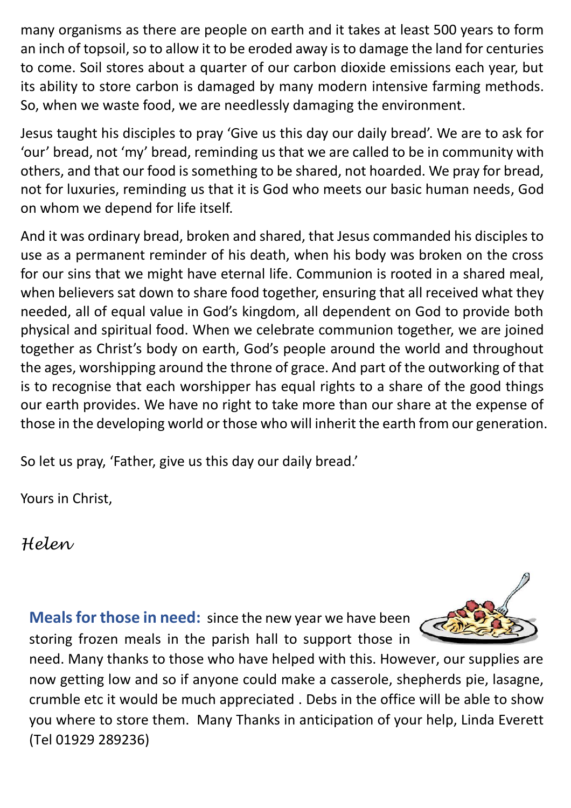many organisms as there are people on earth and it takes at least 500 years to form an inch of topsoil, so to allow it to be eroded away is to damage the land for centuries to come. Soil stores about a quarter of our carbon dioxide emissions each year, but its ability to store carbon is damaged by many modern intensive farming methods. So, when we waste food, we are needlessly damaging the environment.

Jesus taught his disciples to pray 'Give us this day our daily bread'. We are to ask for 'our' bread, not 'my' bread, reminding us that we are called to be in community with others, and that our food is something to be shared, not hoarded. We pray for bread, not for luxuries, reminding us that it is God who meets our basic human needs, God on whom we depend for life itself.

And it was ordinary bread, broken and shared, that Jesus commanded his disciples to use as a permanent reminder of his death, when his body was broken on the cross for our sins that we might have eternal life. Communion is rooted in a shared meal, when believers sat down to share food together, ensuring that all received what they needed, all of equal value in God's kingdom, all dependent on God to provide both physical and spiritual food. When we celebrate communion together, we are joined together as Christ's body on earth, God's people around the world and throughout the ages, worshipping around the throne of grace. And part of the outworking of that is to recognise that each worshipper has equal rights to a share of the good things our earth provides. We have no right to take more than our share at the expense of those in the developing world or those who will inherit the earth from our generation.

So let us pray, 'Father, give us this day our daily bread.'

Yours in Christ,

*Helen*

**Meals for those in need:** since the new year we have been storing frozen meals in the parish hall to support those in



need. Many thanks to those who have helped with this. However, our supplies are now getting low and so if anyone could make a casserole, shepherds pie, lasagne, crumble etc it would be much appreciated . Debs in the office will be able to show you where to store them. Many Thanks in anticipation of your help, Linda Everett (Tel 01929 289236)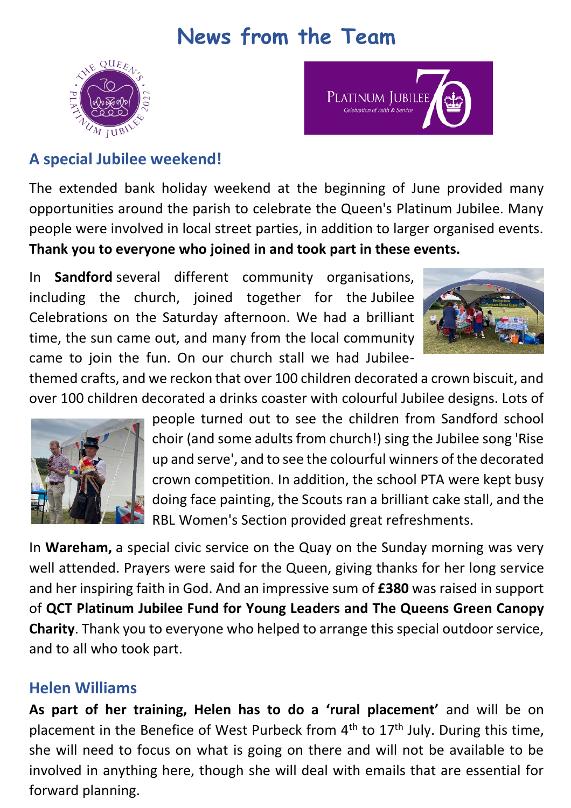## **News from the Team**





#### **A special Jubilee weekend!**

The extended bank holiday weekend at the beginning of June provided many opportunities around the parish to celebrate the Queen's Platinum Jubilee. Many people were involved in local street parties, in addition to larger organised events. **Thank you to everyone who joined in and took part in these events.**

In **Sandford** several different community organisations, including the church, joined together for the Jubilee Celebrations on the Saturday afternoon. We had a brilliant time, the sun came out, and many from the local community came to join the fun. On our church stall we had Jubilee-



themed crafts, and we reckon that over 100 children decorated a crown biscuit, and over 100 children decorated a drinks coaster with colourful Jubilee designs. Lots of



people turned out to see the children from Sandford school choir (and some adults from church!) sing the Jubilee song 'Rise up and serve', and to see the colourful winners of the decorated crown competition. In addition, the school PTA were kept busy doing face painting, the Scouts ran a brilliant cake stall, and the RBL Women's Section provided great refreshments.

In **Wareham,** a special civic service on the Quay on the Sunday morning was very well attended. Prayers were said for the Queen, giving thanks for her long service and her inspiring faith in God. And an impressive sum of **£380** was raised in support of **QCT Platinum Jubilee Fund for Young Leaders and The Queens Green Canopy Charity**. Thank you to everyone who helped to arrange this special outdoor service, and to all who took part.

#### **Helen Williams**

**As part of her training, Helen has to do a 'rural placement'** and will be on placement in the Benefice of West Purbeck from  $4<sup>th</sup>$  to  $17<sup>th</sup>$  July. During this time, she will need to focus on what is going on there and will not be available to be involved in anything here, though she will deal with emails that are essential for forward planning.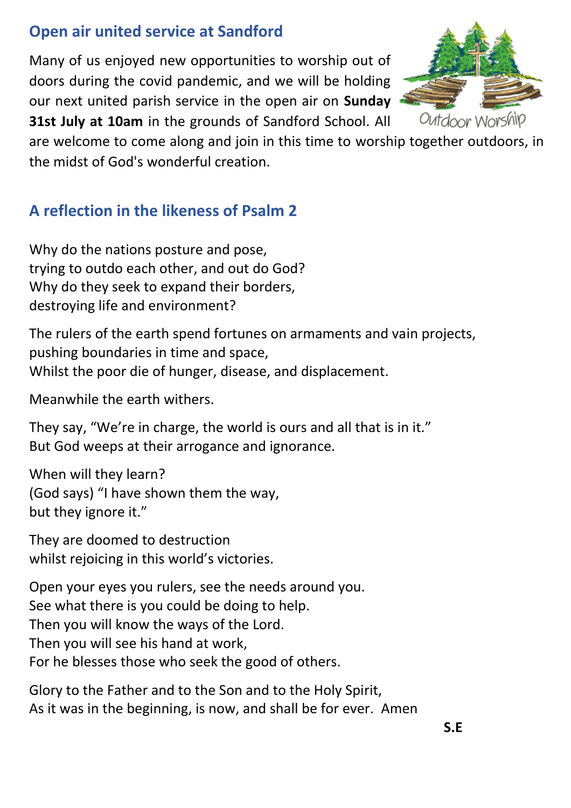### **Open air united service at Sandford**

Many of us enjoyed new opportunities to worship out of doors during the covid pandemic, and we will be holding our next united parish service in the open air on **Sunday 31st July at 10am** in the grounds of Sandford School. All



are welcome to come along and join in this time to worship together outdoors, in the midst of God's wonderful creation.

## **A reflection in the likeness of Psalm 2**

Why do the nations posture and pose, trying to outdo each other, and out do God? Why do they seek to expand their borders, destroying life and environment?

The rulers of the earth spend fortunes on armaments and vain projects, pushing boundaries in time and space, Whilst the poor die of hunger, disease, and displacement.

Meanwhile the earth withers.

They say, "We're in charge, the world is ours and all that is in it." But God weeps at their arrogance and ignorance.

When will they learn? (God says) "I have shown them the way, but they ignore it."

They are doomed to destruction whilst rejoicing in this world's victories.

Open your eyes you rulers, see the needs around you. See what there is you could be doing to help. Then you will know the ways of the Lord. Then you will see his hand at work, For he blesses those who seek the good of others.

Glory to the Father and to the Son and to the Holy Spirit, As it was in the beginning, is now, and shall be for ever. Amen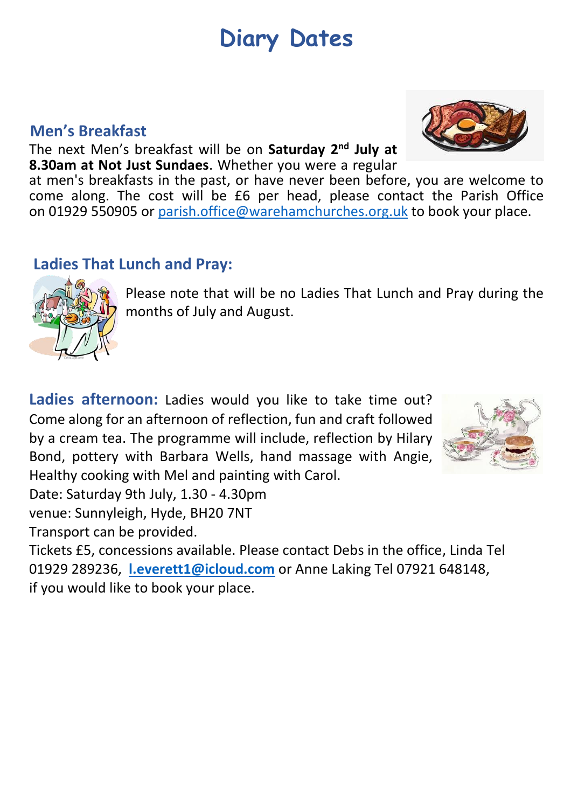# **Diary Dates**

**Men's Breakfast** 

The next Men's breakfast will be on **Saturday 2 nd July at 8.30am at Not Just Sundaes**. Whether you were a regular

at men's breakfasts in the past, or have never been before, you are welcome to come along. The cost will be £6 per head, please contact the Parish Office on 01929 550905 or [parish.office@warehamchurches.org.uk](mailto:parish.office@warehamchurches.org.uk) to book your place.

### **Ladies That Lunch and Pray:**

Please note that will be no Ladies That Lunch and Pray during the months of July and August.

**Ladies afternoon:** Ladies would you like to take time out? Come along for an afternoon of reflection, fun and craft followed by a cream tea. The programme will include, reflection by Hilary Bond, pottery with Barbara Wells, hand massage with Angie, Healthy cooking with Mel and painting with Carol.



venue: Sunnyleigh, Hyde, BH20 7NT

Transport can be provided.

Tickets £5, concessions available. Please contact Debs in the office, Linda Tel 01929 289236, **[l.everett1@icloud.com](mailto:l.everett1@icloud.com)** or Anne Laking Tel 07921 648148, if you would like to book your place.





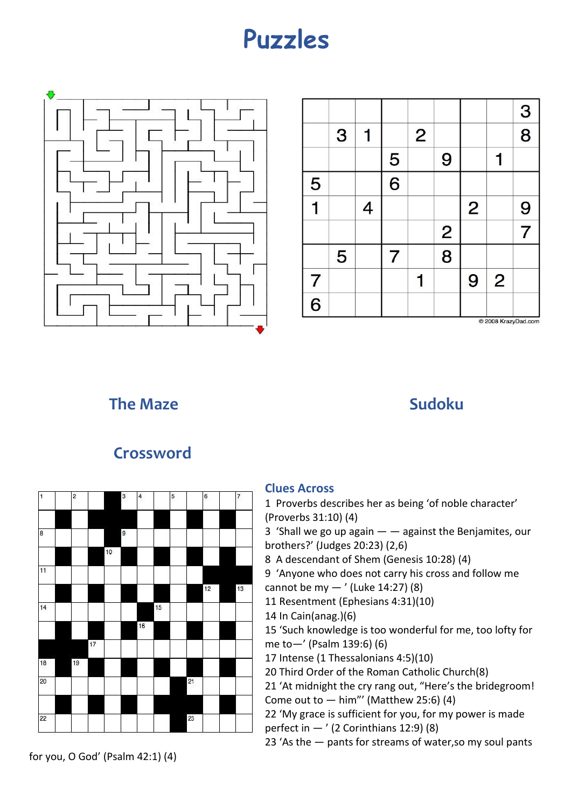# **Puzzles**



|                 |   |   |                |                |   |                |                     | 3                       |
|-----------------|---|---|----------------|----------------|---|----------------|---------------------|-------------------------|
|                 | 3 | 1 |                | $\overline{2}$ |   |                |                     | $\overline{\mathbf{8}}$ |
|                 |   |   | 5              |                | 9 |                | 1                   |                         |
| 5               |   |   | 6              |                |   |                |                     |                         |
| 1               |   | 4 |                |                |   | $\overline{2}$ |                     | 9                       |
|                 |   |   |                |                | 2 |                |                     | $\overline{7}$          |
|                 | 5 |   | $\overline{7}$ |                | 8 |                |                     |                         |
| 7               |   |   |                | 1              |   | 9              | $\overline{2}$      |                         |
| $6 \overline{}$ |   |   |                |                |   |                | @ 2008 KrazyDad com |                         |

© 2008 KrazyDad.com

#### **The Maze** Sudoku **Sudoku**



#### **Crossword**

#### **Clues Across**

1 Proverbs describes her as being 'of noble character' (Proverbs 31:10) (4)

3 'Shall we go up again  $-$  against the Benjamites, our brothers?' (Judges 20:23) (2,6)

8 A descendant of Shem (Genesis 10:28) (4)

9 'Anyone who does not carry his cross and follow me

cannot be my  $-$  ' (Luke 14:27) (8)

11 Resentment (Ephesians 4:31)(10)

14 In Cain(anag.)(6)

15 'Such knowledge is too wonderful for me, too lofty for me to—' (Psalm 139:6) (6)

17 Intense (1 Thessalonians 4:5)(10)

20 Third Order of the Roman Catholic Church(8)

21 'At midnight the cry rang out, "Here's the bridegroom! Come out to  $-$  him"' (Matthew 25:6) (4)

22 'My grace is sufficient for you, for my power is made perfect in  $-$  ' (2 Corinthians 12:9) (8)

23 'As the — pants for streams of water,so my soul pants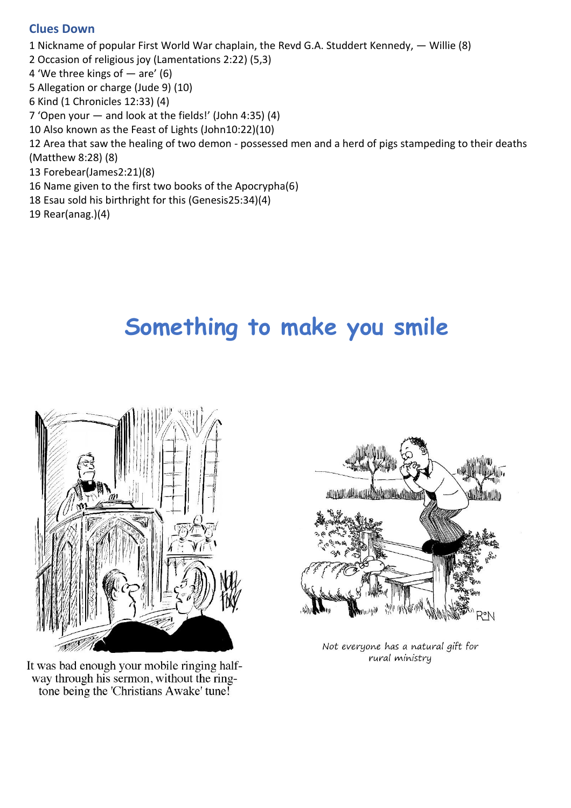#### **Clues Down**

- 1 Nickname of popular First World War chaplain, the Revd G.A. Studdert Kennedy, Willie (8)
- 2 Occasion of religious joy (Lamentations 2:22) (5,3)
- 4 'We three kings of  $-$  are' (6)
- 5 Allegation or charge (Jude 9) (10)
- 6 Kind (1 Chronicles 12:33) (4)
- 7 'Open your and look at the fields!' (John 4:35) (4)
- 10 Also known as the Feast of Lights (John10:22)(10)

12 Area that saw the healing of two demon - possessed men and a herd of pigs stampeding to their deaths (Matthew 8:28) (8)

13 Forebear(James2:21)(8)

- 16 Name given to the first two books of the Apocrypha(6)
- 18 Esau sold his birthright for this (Genesis25:34)(4)
- 19 Rear(anag.)(4)

# **Something to make you smile**



It was bad enough your mobile ringing halfway through his sermon, without the ringtone being the 'Christians Awake' tune!



Not everyone has a natural gift for rural ministry